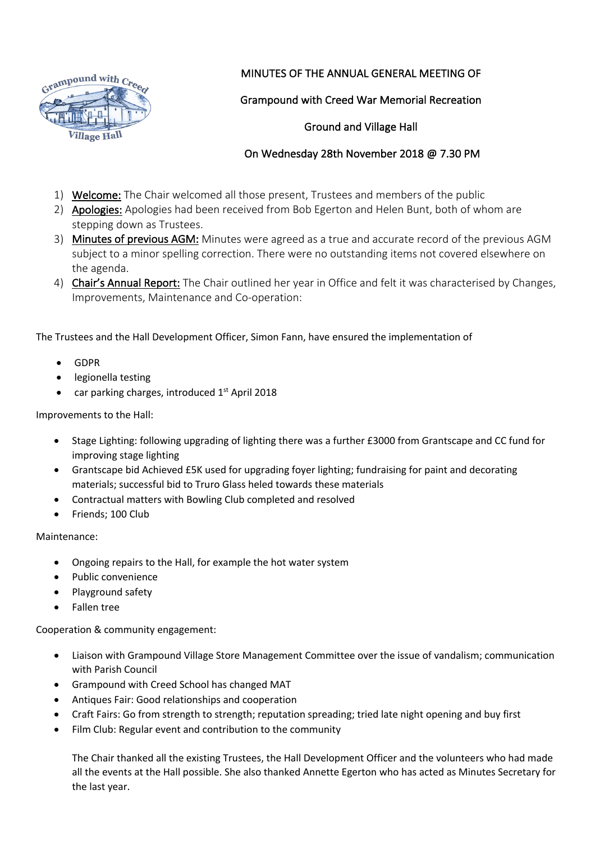

## MINUTES OF THE ANNUAL GENERAL MEETING OF

## Grampound with Creed War Memorial Recreation

#### Ground and Village Hall

## On Wednesday 28th November 2018 @ 7.30 PM

- 1) Welcome: The Chair welcomed all those present, Trustees and members of the public
- 2) Apologies: Apologies had been received from Bob Egerton and Helen Bunt, both of whom are stepping down as Trustees.
- 3) Minutes of previous AGM: Minutes were agreed as a true and accurate record of the previous AGM subject to a minor spelling correction. There were no outstanding items not covered elsewhere on the agenda.
- 4) Chair's Annual Report: The Chair outlined her year in Office and felt it was characterised by Changes, Improvements, Maintenance and Co-operation:

The Trustees and the Hall Development Officer, Simon Fann, have ensured the implementation of

- GDPR
- legionella testing
- car parking charges, introduced  $1<sup>st</sup>$  April 2018

Improvements to the Hall:

- Stage Lighting: following upgrading of lighting there was a further £3000 from Grantscape and CC fund for improving stage lighting
- Grantscape bid Achieved £5K used for upgrading foyer lighting; fundraising for paint and decorating materials; successful bid to Truro Glass heled towards these materials
- Contractual matters with Bowling Club completed and resolved
- Friends; 100 Club

Maintenance:

- Ongoing repairs to the Hall, for example the hot water system
- Public convenience
- Playground safety
- Fallen tree

Cooperation & community engagement:

- Liaison with Grampound Village Store Management Committee over the issue of vandalism; communication with Parish Council
- Grampound with Creed School has changed MAT
- Antiques Fair: Good relationships and cooperation
- Craft Fairs: Go from strength to strength; reputation spreading; tried late night opening and buy first
- Film Club: Regular event and contribution to the community

The Chair thanked all the existing Trustees, the Hall Development Officer and the volunteers who had made all the events at the Hall possible. She also thanked Annette Egerton who has acted as Minutes Secretary for the last year.